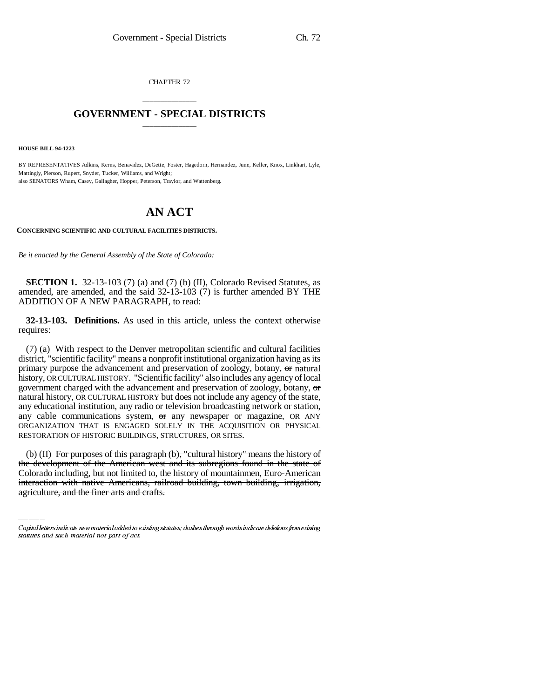CHAPTER 72

## \_\_\_\_\_\_\_\_\_\_\_\_\_\_\_ **GOVERNMENT - SPECIAL DISTRICTS** \_\_\_\_\_\_\_\_\_\_\_\_\_\_\_

**HOUSE BILL 94-1223**

BY REPRESENTATIVES Adkins, Kerns, Benavidez, DeGette, Foster, Hagedorn, Hernandez, June, Keller, Knox, Linkhart, Lyle, Mattingly, Pierson, Rupert, Snyder, Tucker, Williams, and Wright; also SENATORS Wham, Casey, Gallagher, Hopper, Peterson, Traylor, and Wattenberg.

## **AN ACT**

**CONCERNING SCIENTIFIC AND CULTURAL FACILITIES DISTRICTS.**

*Be it enacted by the General Assembly of the State of Colorado:*

**SECTION 1.** 32-13-103 (7) (a) and (7) (b) (II), Colorado Revised Statutes, as amended, are amended, and the said 32-13-103 (7) is further amended BY THE ADDITION OF A NEW PARAGRAPH, to read:

**32-13-103. Definitions.** As used in this article, unless the context otherwise requires:

(7) (a) With respect to the Denver metropolitan scientific and cultural facilities district, "scientific facility" means a nonprofit institutional organization having as its primary purpose the advancement and preservation of zoology, botany, or natural history, OR CULTURAL HISTORY. "Scientific facility" also includes any agency of local government charged with the advancement and preservation of zoology, botany, or natural history, OR CULTURAL HISTORY but does not include any agency of the state, any educational institution, any radio or television broadcasting network or station, any cable communications system, or any newspaper or magazine, OR ANY ORGANIZATION THAT IS ENGAGED SOLELY IN THE ACQUISITION OR PHYSICAL RESTORATION OF HISTORIC BUILDINGS, STRUCTURES, OR SITES.

(b) (II) For purposes of this paragraph (b), "cultural history" means the history of the development of the American west and its subregions found in the state of Colorado including, but not limited to, the history of mountainmen, Euro-American interaction with native Americans, railroad building, town building, irrigation, agriculture, and the finer arts and crafts.

Capital letters indicate new material added to existing statutes; dashes through words indicate deletions from existing statutes and such material not part of act.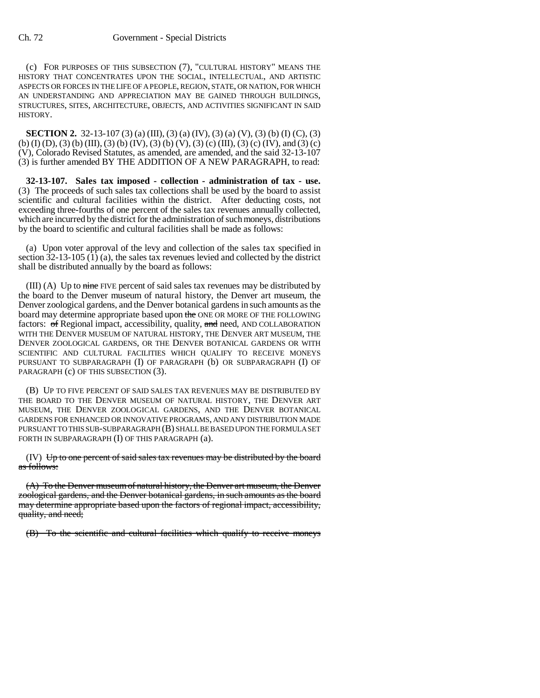(c) FOR PURPOSES OF THIS SUBSECTION (7), "CULTURAL HISTORY" MEANS THE HISTORY THAT CONCENTRATES UPON THE SOCIAL, INTELLECTUAL, AND ARTISTIC ASPECTS OR FORCES IN THE LIFE OF A PEOPLE, REGION, STATE, OR NATION, FOR WHICH AN UNDERSTANDING AND APPRECIATION MAY BE GAINED THROUGH BUILDINGS, STRUCTURES, SITES, ARCHITECTURE, OBJECTS, AND ACTIVITIES SIGNIFICANT IN SAID HISTORY.

**SECTION 2.** 32-13-107 (3) (a) (III), (3) (a) (IV), (3) (a) (V), (3) (b) (I) (C), (3) (b) (I) (D), (3) (b) (III), (3) (b) (IV), (3) (b) (V), (3) (c) (III), (3) (c) (IV), and (3) (c) (V), Colorado Revised Statutes, as amended, are amended, and the said 32-13-107 (3) is further amended BY THE ADDITION OF A NEW PARAGRAPH, to read:

**32-13-107. Sales tax imposed - collection - administration of tax - use.** (3) The proceeds of such sales tax collections shall be used by the board to assist scientific and cultural facilities within the district. After deducting costs, not exceeding three-fourths of one percent of the sales tax revenues annually collected, which are incurred by the district for the administration of such moneys, distributions by the board to scientific and cultural facilities shall be made as follows:

(a) Upon voter approval of the levy and collection of the sales tax specified in section 32-13-105 (1) (a), the sales tax revenues levied and collected by the district shall be distributed annually by the board as follows:

 $(III)$  (A) Up to nine FIVE percent of said sales tax revenues may be distributed by the board to the Denver museum of natural history, the Denver art museum, the Denver zoological gardens, and the Denver botanical gardens in such amounts as the board may determine appropriate based upon the ONE OR MORE OF THE FOLLOWING factors: of Regional impact, accessibility, quality, and need, AND COLLABORATION WITH THE DENVER MUSEUM OF NATURAL HISTORY, THE DENVER ART MUSEUM, THE DENVER ZOOLOGICAL GARDENS, OR THE DENVER BOTANICAL GARDENS OR WITH SCIENTIFIC AND CULTURAL FACILITIES WHICH QUALIFY TO RECEIVE MONEYS PURSUANT TO SUBPARAGRAPH (I) OF PARAGRAPH (b) OR SUBPARAGRAPH (I) OF PARAGRAPH (c) OF THIS SUBSECTION (3).

(B) UP TO FIVE PERCENT OF SAID SALES TAX REVENUES MAY BE DISTRIBUTED BY THE BOARD TO THE DENVER MUSEUM OF NATURAL HISTORY, THE DENVER ART MUSEUM, THE DENVER ZOOLOGICAL GARDENS, AND THE DENVER BOTANICAL GARDENS FOR ENHANCED OR INNOVATIVE PROGRAMS, AND ANY DISTRIBUTION MADE PURSUANT TO THIS SUB-SUBPARAGRAPH (B) SHALL BE BASED UPON THE FORMULA SET FORTH IN SUBPARAGRAPH (I) OF THIS PARAGRAPH (a).

 $(V)$  Up to one percent of said sales tax revenues may be distributed by the board as follows:

(A) To the Denver museum of natural history, the Denver art museum, the Denver zoological gardens, and the Denver botanical gardens, in such amounts as the board may determine appropriate based upon the factors of regional impact, accessibility, quality, and need;

(B) To the scientific and cultural facilities which qualify to receive moneys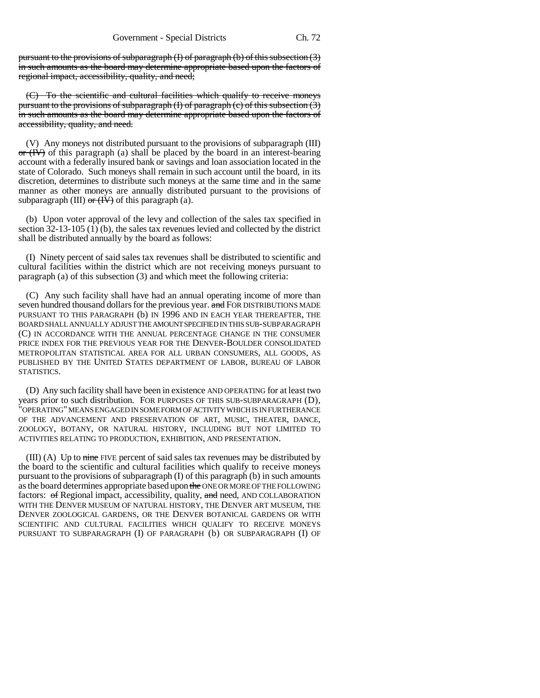pursuant to the provisions of subparagraph (I) of paragraph (b) of this subsection (3) in such amounts as the board may determine appropriate based upon the factors of regional impact, accessibility, quality, and need;

(C) To the scientific and cultural facilities which qualify to receive moneys pursuant to the provisions of subparagraph (I) of paragraph (c) of this subsection (3) in such amounts as the board may determine appropriate based upon the factors of accessibility, quality, and need.

(V) Any moneys not distributed pursuant to the provisions of subparagraph (III)  $\sigma$  (IV) of this paragraph (a) shall be placed by the board in an interest-bearing account with a federally insured bank or savings and loan association located in the state of Colorado. Such moneys shall remain in such account until the board, in its discretion, determines to distribute such moneys at the same time and in the same manner as other moneys are annually distributed pursuant to the provisions of subparagraph (III)  $\sigma$  (IV) of this paragraph (a).

(b) Upon voter approval of the levy and collection of the sales tax specified in section  $32-13-105$  (1) (b), the sales tax revenues levied and collected by the district shall be distributed annually by the board as follows:

(I) Ninety percent of said sales tax revenues shall be distributed to scientific and cultural facilities within the district which are not receiving moneys pursuant to paragraph (a) of this subsection (3) and which meet the following criteria:

(C) Any such facility shall have had an annual operating income of more than seven hundred thousand dollars for the previous year. and FOR DISTRIBUTIONS MADE PURSUANT TO THIS PARAGRAPH (b) IN 1996 AND IN EACH YEAR THEREAFTER, THE BOARD SHALL ANNUALLY ADJUST THE AMOUNT SPECIFIED IN THIS SUB-SUBPARAGRAPH (C) IN ACCORDANCE WITH THE ANNUAL PERCENTAGE CHANGE IN THE CONSUMER PRICE INDEX FOR THE PREVIOUS YEAR FOR THE DENVER-BOULDER CONSOLIDATED METROPOLITAN STATISTICAL AREA FOR ALL URBAN CONSUMERS, ALL GOODS, AS PUBLISHED BY THE UNITED STATES DEPARTMENT OF LABOR, BUREAU OF LABOR STATISTICS.

(D) Any such facility shall have been in existence AND OPERATING for at least two years prior to such distribution. FOR PURPOSES OF THIS SUB-SUBPARAGRAPH (D), "OPERATING" MEANS ENGAGED IN SOME FORM OF ACTIVITY WHICH IS IN FURTHERANCE OF THE ADVANCEMENT AND PRESERVATION OF ART, MUSIC, THEATER, DANCE, ZOOLOGY, BOTANY, OR NATURAL HISTORY, INCLUDING BUT NOT LIMITED TO ACTIVITIES RELATING TO PRODUCTION, EXHIBITION, AND PRESENTATION.

 $(III)$  (A) Up to nine FIVE percent of said sales tax revenues may be distributed by the board to the scientific and cultural facilities which qualify to receive moneys pursuant to the provisions of subparagraph  $(I)$  of this paragraph  $(b)$  in such amounts as the board determines appropriate based upon the ONE OR MORE OF THE FOLLOWING factors:  $\Theta$  Regional impact, accessibility, quality, and need, AND COLLABORATION WITH THE DENVER MUSEUM OF NATURAL HISTORY, THE DENVER ART MUSEUM, THE DENVER ZOOLOGICAL GARDENS, OR THE DENVER BOTANICAL GARDENS OR WITH SCIENTIFIC AND CULTURAL FACILITIES WHICH QUALIFY TO RECEIVE MONEYS PURSUANT TO SUBPARAGRAPH (I) OF PARAGRAPH (b) OR SUBPARAGRAPH (I) OF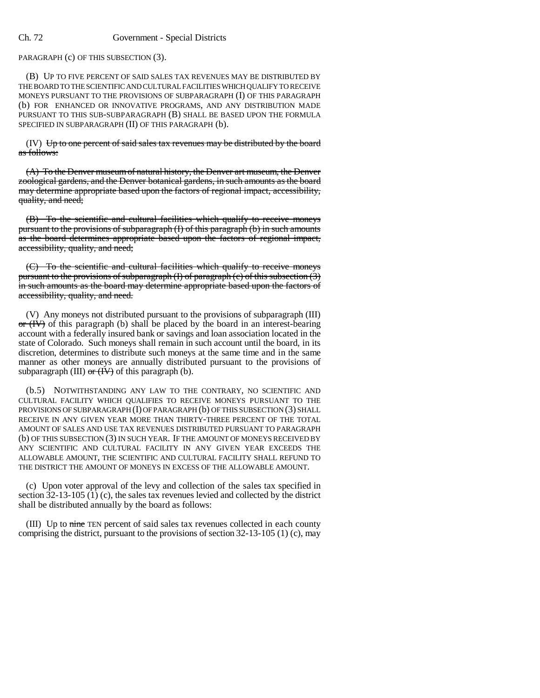## Ch. 72 Government - Special Districts

PARAGRAPH (c) OF THIS SUBSECTION (3).

(B) UP TO FIVE PERCENT OF SAID SALES TAX REVENUES MAY BE DISTRIBUTED BY THE BOARD TO THE SCIENTIFIC AND CULTURAL FACILITIES WHICH QUALIFY TO RECEIVE MONEYS PURSUANT TO THE PROVISIONS OF SUBPARAGRAPH (I) OF THIS PARAGRAPH (b) FOR ENHANCED OR INNOVATIVE PROGRAMS, AND ANY DISTRIBUTION MADE PURSUANT TO THIS SUB-SUBPARAGRAPH (B) SHALL BE BASED UPON THE FORMULA SPECIFIED IN SUBPARAGRAPH (II) OF THIS PARAGRAPH (b).

 $(IV)$  Up to one percent of said sales tax revenues may be distributed by the board as follows:

(A) To the Denver museum of natural history, the Denver art museum, the Denver zoological gardens, and the Denver botanical gardens, in such amounts as the board may determine appropriate based upon the factors of regional impact, accessibility, quality, and need;

(B) To the scientific and cultural facilities which qualify to receive moneys pursuant to the provisions of subparagraph (I) of this paragraph (b) in such amounts as the board determines appropriate based upon the factors of regional impact, accessibility, quality, and need;

(C) To the scientific and cultural facilities which qualify to receive moneys pursuant to the provisions of subparagraph (I) of paragraph (c) of this subsection (3) in such amounts as the board may determine appropriate based upon the factors of accessibility, quality, and need.

(V) Any moneys not distributed pursuant to the provisions of subparagraph (III)  $\sigma$  (IV) of this paragraph (b) shall be placed by the board in an interest-bearing account with a federally insured bank or savings and loan association located in the state of Colorado. Such moneys shall remain in such account until the board, in its discretion, determines to distribute such moneys at the same time and in the same manner as other moneys are annually distributed pursuant to the provisions of subparagraph (III)  $\sigma$  (IV) of this paragraph (b).

(b.5) NOTWITHSTANDING ANY LAW TO THE CONTRARY, NO SCIENTIFIC AND CULTURAL FACILITY WHICH QUALIFIES TO RECEIVE MONEYS PURSUANT TO THE PROVISIONS OF SUBPARAGRAPH (I) OF PARAGRAPH (b) OF THIS SUBSECTION (3) SHALL RECEIVE IN ANY GIVEN YEAR MORE THAN THIRTY-THREE PERCENT OF THE TOTAL AMOUNT OF SALES AND USE TAX REVENUES DISTRIBUTED PURSUANT TO PARAGRAPH (b) OF THIS SUBSECTION (3) IN SUCH YEAR. IF THE AMOUNT OF MONEYS RECEIVED BY ANY SCIENTIFIC AND CULTURAL FACILITY IN ANY GIVEN YEAR EXCEEDS THE ALLOWABLE AMOUNT, THE SCIENTIFIC AND CULTURAL FACILITY SHALL REFUND TO THE DISTRICT THE AMOUNT OF MONEYS IN EXCESS OF THE ALLOWABLE AMOUNT.

(c) Upon voter approval of the levy and collection of the sales tax specified in section 32-13-105 (1) (c), the sales tax revenues levied and collected by the district shall be distributed annually by the board as follows:

(III) Up to nine TEN percent of said sales tax revenues collected in each county comprising the district, pursuant to the provisions of section 32-13-105 (1) (c), may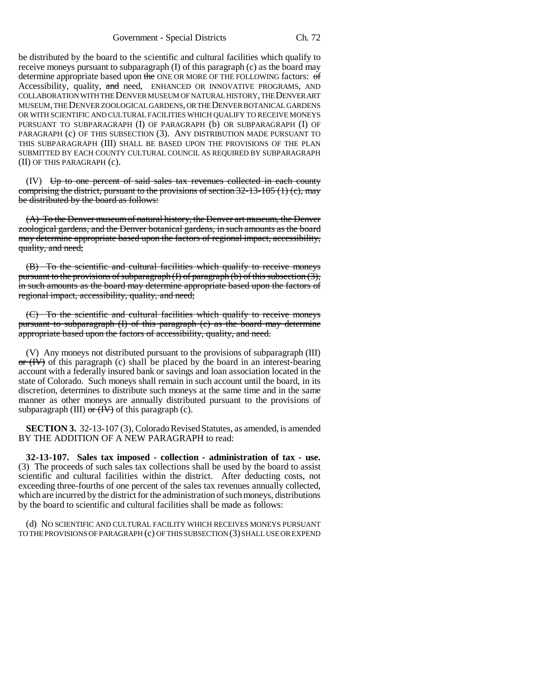Government - Special Districts Ch. 72

be distributed by the board to the scientific and cultural facilities which qualify to receive moneys pursuant to subparagraph (I) of this paragraph (c) as the board may determine appropriate based upon the ONE OR MORE OF THE FOLLOWING factors: of Accessibility, quality, and need, ENHANCED OR INNOVATIVE PROGRAMS, AND COLLABORATION WITH THE DENVER MUSEUM OF NATURAL HISTORY, THE DENVER ART MUSEUM, THE DENVER ZOOLOGICAL GARDENS, OR THE DENVER BOTANICAL GARDENS OR WITH SCIENTIFIC AND CULTURAL FACILITIES WHICH QUALIFY TO RECEIVE MONEYS PURSUANT TO SUBPARAGRAPH (I) OF PARAGRAPH (b) OR SUBPARAGRAPH (I) OF PARAGRAPH (c) OF THIS SUBSECTION (3). ANY DISTRIBUTION MADE PURSUANT TO THIS SUBPARAGRAPH (III) SHALL BE BASED UPON THE PROVISIONS OF THE PLAN SUBMITTED BY EACH COUNTY CULTURAL COUNCIL AS REQUIRED BY SUBPARAGRAPH (II) OF THIS PARAGRAPH (c).

(IV) Up to one percent of said sales tax revenues collected in each county comprising the district, pursuant to the provisions of section  $32-13-105$  (1) (e), may be distributed by the board as follows:

(A) To the Denver museum of natural history, the Denver art museum, the Denver zoological gardens, and the Denver botanical gardens, in such amounts as the board may determine appropriate based upon the factors of regional impact, accessibility, quality, and need;

(B) To the scientific and cultural facilities which qualify to receive moneys pursuant to the provisions of subparagraph  $(I)$  of paragraph  $(b)$  of this subsection  $(3)$ , in such amounts as the board may determine appropriate based upon the factors of regional impact, accessibility, quality, and need;

To the scientific and cultural facilities which qualify to receive moneys pursuant to subparagraph (I) of this paragraph (c) as the board may determine appropriate based upon the factors of accessibility, quality, and need.

(V) Any moneys not distributed pursuant to the provisions of subparagraph (III)  $\sigma$  (IV) of this paragraph (c) shall be placed by the board in an interest-bearing account with a federally insured bank or savings and loan association located in the state of Colorado. Such moneys shall remain in such account until the board, in its discretion, determines to distribute such moneys at the same time and in the same manner as other moneys are annually distributed pursuant to the provisions of subparagraph (III)  $\sigma$  (IV) of this paragraph (c).

**SECTION 3.** 32-13-107 (3), Colorado Revised Statutes, as amended, is amended BY THE ADDITION OF A NEW PARAGRAPH to read:

**32-13-107. Sales tax imposed - collection - administration of tax - use.** (3) The proceeds of such sales tax collections shall be used by the board to assist scientific and cultural facilities within the district. After deducting costs, not exceeding three-fourths of one percent of the sales tax revenues annually collected, which are incurred by the district for the administration of such moneys, distributions by the board to scientific and cultural facilities shall be made as follows:

(d) NO SCIENTIFIC AND CULTURAL FACILITY WHICH RECEIVES MONEYS PURSUANT TO THE PROVISIONS OF PARAGRAPH (c) OF THIS SUBSECTION (3) SHALL USE OR EXPEND